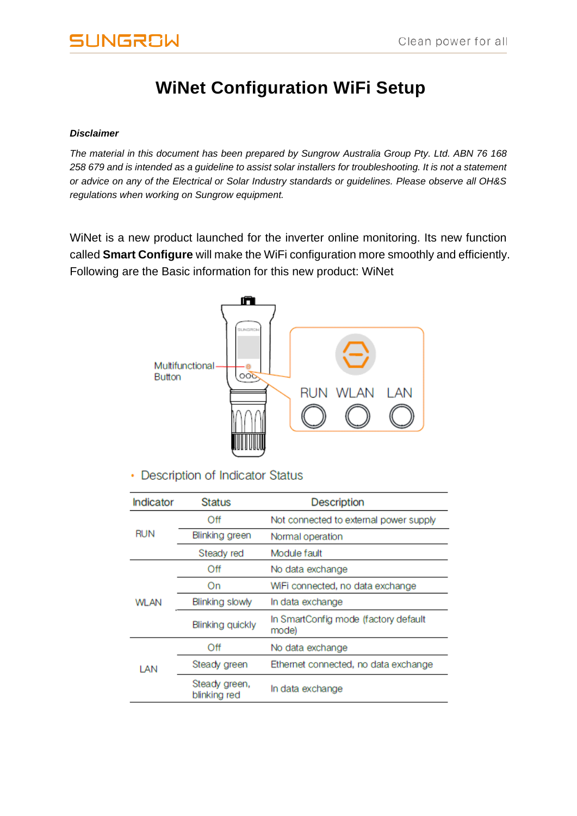# **UNGROW**

# **WiNet Configuration WiFi Setup**

#### *Disclaimer*

*The material in this document has been prepared by Sungrow Australia Group Pty. Ltd. ABN 76 168 258 679 and is intended as a guideline to assist solar installers for troubleshooting. It is not a statement or advice on any of the Electrical or Solar Industry standards or guidelines. Please observe all OH&S regulations when working on Sungrow equipment.*

WiNet is a new product launched for the inverter online monitoring. Its new function called **Smart Configure** will make the WiFi configuration more smoothly and efficiently. Following are the Basic information for this new product: WiNet



• Description of Indicator Status

| Indicator   | <b>Status</b>                 | <b>Description</b>                            |
|-------------|-------------------------------|-----------------------------------------------|
|             | Off                           | Not connected to external power supply        |
| <b>RUN</b>  | Blinking green                | Normal operation                              |
|             | Steady red                    | Module fault                                  |
|             | Off                           | No data exchange                              |
| <b>WLAN</b> | On                            | WiFi connected, no data exchange              |
|             | Blinking slowly               | In data exchange                              |
|             | <b>Blinking quickly</b>       | In SmartConfig mode (factory default<br>mode) |
| LAN         | Off                           | No data exchange                              |
|             | Steady green                  | Ethernet connected, no data exchange          |
|             | Steady green,<br>blinking red | In data exchange                              |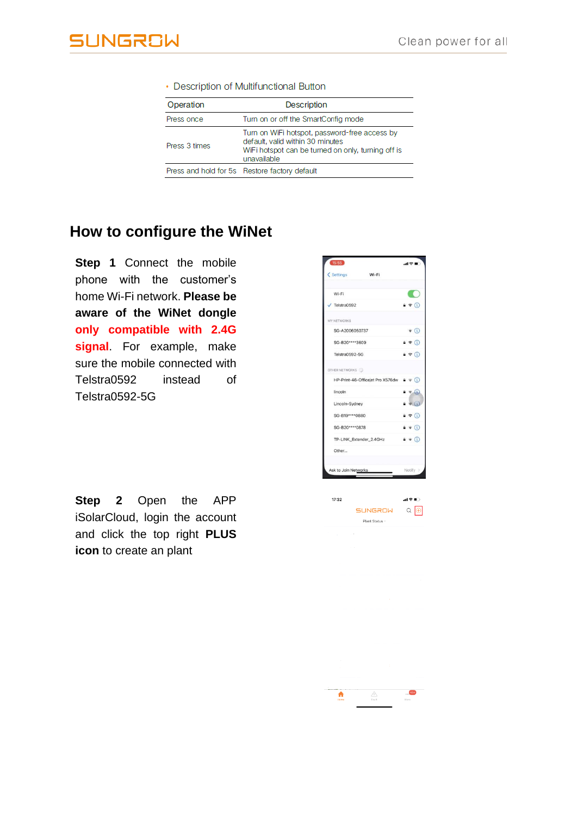| Operation     | <b>Description</b>                                                                                                                                     |  |
|---------------|--------------------------------------------------------------------------------------------------------------------------------------------------------|--|
| Press once    | Turn on or off the SmartConfig mode                                                                                                                    |  |
| Press 3 times | Turn on WiFi hotspot, password-free access by<br>default, valid within 30 minutes<br>WiFi hotspot can be turned on only, turning off is<br>unavailable |  |
|               | Press and hold for 5s Restore factory default                                                                                                          |  |

#### • Description of Multifunctional Button

### **How to configure the WiNet**

**Step 1** Connect the mobile phone with the customer's home Wi-Fi network. **Please be aware of the WiNet dongle only compatible with 2.4G signal**. For example, make sure the mobile connected with Telstra0592 instead of Telstra0592-5G

| 15:55                   |                                                   |  | $d \otimes n$                 |
|-------------------------|---------------------------------------------------|--|-------------------------------|
| < Settings              | Wi-Fi                                             |  |                               |
| Wi-Fi                   |                                                   |  |                               |
| Telstra0592             |                                                   |  | $\bullet \in \mathbb{G}$      |
| MY NETWORKS             |                                                   |  |                               |
| SG-A2006050737          |                                                   |  | $\widehat{\mathbf{z}}$ (i)    |
| SG-B20****3609          |                                                   |  | $\bullet \in \textcircled{1}$ |
| Telstra0592-5G          |                                                   |  | $4 \in 0$                     |
| OTHER NETWORKS          |                                                   |  |                               |
|                         | HP-Print-46-Officejet Pro X576dw $\theta \in (i)$ |  |                               |
| lincoln                 |                                                   |  | $4 \in \mathbb{C}$            |
| Lincoln-Sydney          |                                                   |  | $\bullet \in \mathbb{Q}$      |
| SG-B19 **** 0880        |                                                   |  | $9 \in (1)$                   |
| SG-B20****0878          |                                                   |  | $a \in (i)$                   |
| TP-LINK_Extender_2.4GHz |                                                   |  | $\bullet \circ (i)$           |
| Other                   |                                                   |  |                               |
| Ask to Join Networks    |                                                   |  | Notify >                      |

 $d \otimes F$ 

SUNGROW Q <sup>@</sup> Plant Status

17:32

**Step 2** Open the APP iSolarCloud, login the account and click the top right **PLUS icon** to create an plant

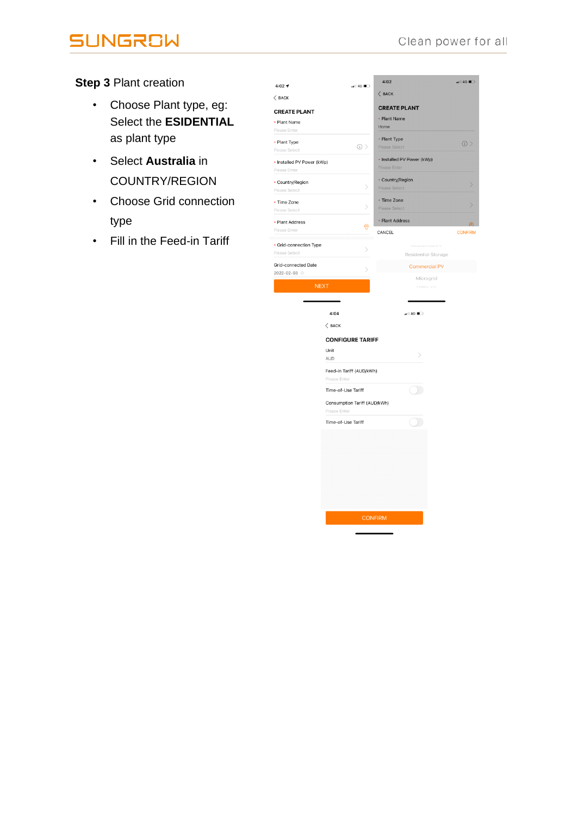# **SUNGROW**

**Step 3** Plant creation

- Choose Plant type, eg: Select the **ESIDENTIAL**  as plant type
- Select **Australia** in COUNTRY/REGION
- Choose Grid connection type
- Fill in the Feed-in Tariff

| $4:02 - 7$                 | $\blacksquare$ 46                        | 4:02                             | 4G                           |
|----------------------------|------------------------------------------|----------------------------------|------------------------------|
| $\langle$ BACK             |                                          | $\langle$ BACK                   |                              |
| <b>CREATE PLANT</b>        |                                          | <b>CREATE PLANT</b>              |                              |
| • Plant Name               |                                          | • Plant Name                     |                              |
| Please Enter               |                                          | Home                             |                              |
| • Plant Type               |                                          | • Plant Type                     |                              |
| Please Select              | $\circlearrowright$                      | Please Select                    | $\circlearrowright$          |
| • Installed PV Power (kWp) |                                          | • Installed PV Power (kWp)       |                              |
| Please Enter               |                                          | Please Enter                     |                              |
| • Country/Region           |                                          | • Country/Region                 |                              |
| Please Select              | $\left\langle \right\rangle$             | Please Select                    | $\geq$                       |
| • Time Zone                |                                          | • Time Zone                      |                              |
| Please Select              | $\left\langle \right\rangle$             | Please Select                    | $\left\langle \right\rangle$ |
| • Plant Address            |                                          | • Plant Address                  |                              |
| Please Enter               | 0                                        | CANCEL                           | ര<br><b>CONFIRM</b>          |
|                            |                                          |                                  |                              |
| • Grid-connection Type     | $\left\langle \right\rangle$             | Residential PV                   |                              |
| Please Select              |                                          | Residential Storage              |                              |
| Grid-connected Date        | $\,>\,$                                  | <b>Commercial PV</b>             |                              |
| 2022-02-03                 |                                          | Microgrid                        |                              |
| <b>NEXT</b>                |                                          | Utility PV                       |                              |
|                            |                                          |                                  |                              |
|                            |                                          |                                  |                              |
|                            | 4:04                                     | $\blacksquare$ 4G $\blacksquare$ |                              |
|                            | $\langle$ BACK                           |                                  |                              |
|                            | <b>CONFIGURE TARIFF</b>                  |                                  |                              |
|                            | Unit                                     |                                  |                              |
|                            | AUD                                      | >                                |                              |
|                            |                                          |                                  |                              |
|                            | Feed-in Tariff (AUD/kWh)<br>Please Enter |                                  |                              |
|                            | Time-of-Use Tariff                       |                                  |                              |
|                            |                                          |                                  |                              |
|                            | Consumption Tariff (AUD/kWh)             |                                  |                              |
|                            | Please Enter                             |                                  |                              |
|                            | Time-of-Use Tariff                       |                                  |                              |
|                            |                                          |                                  |                              |
|                            |                                          |                                  |                              |
|                            |                                          |                                  |                              |
|                            |                                          |                                  |                              |
|                            |                                          |                                  |                              |
|                            |                                          |                                  |                              |
|                            |                                          |                                  |                              |
|                            |                                          |                                  |                              |
|                            |                                          | <b>CONFIRM</b>                   |                              |
|                            |                                          |                                  |                              |
|                            |                                          |                                  |                              |
|                            |                                          |                                  |                              |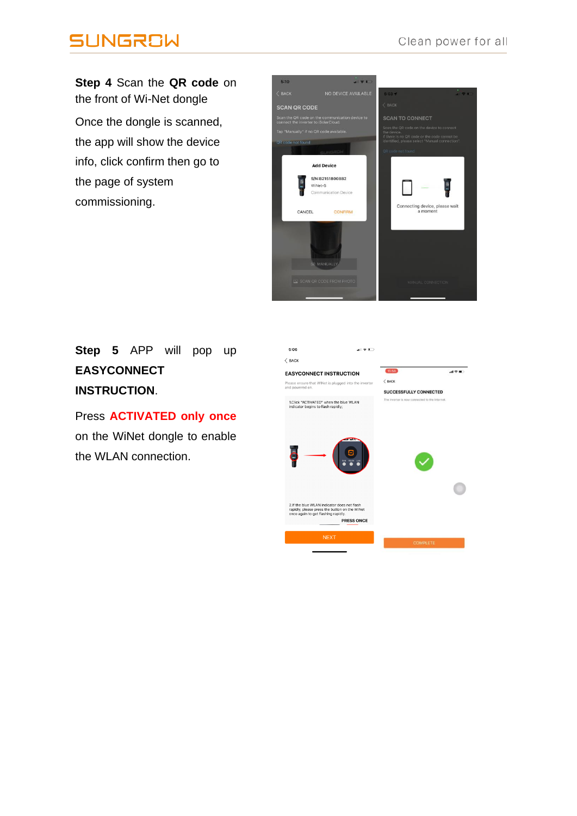## **SUNGROW**

**Step 4** Scan the **QR code** on the front of Wi-Net dongle Once the dongle is scanned, the app will show the device info, click confirm then go to the page of system commissioning.



#### **Step 5** APP will pop up **EASYCONNECT INSTRUCTION**.

Press **ACTIVATED only once** on the WiNet dongle to enable the WLAN connection.

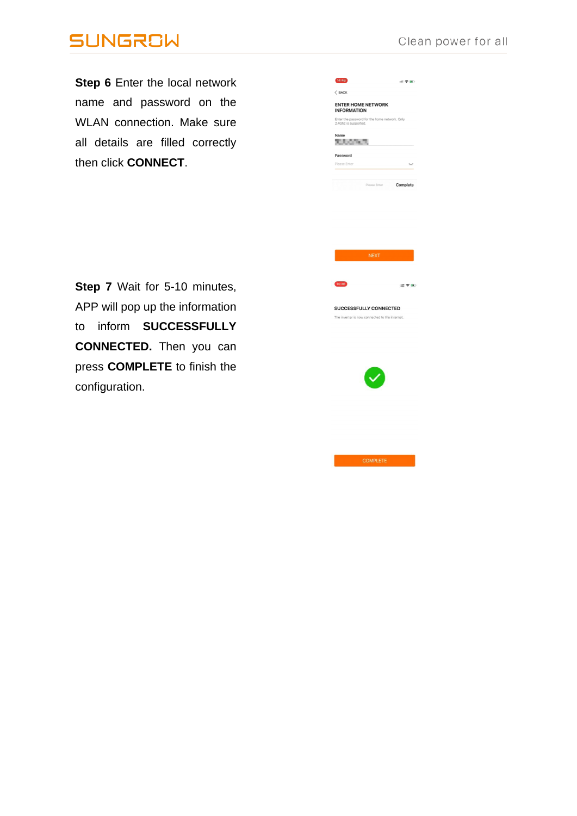### **SUNGROW**

Step 6 Enter the local network name and password on the WLAN connection. Make sure all details are filled correctly then click CONNECT.

| 14:46                                                                 | - 今日     |
|-----------------------------------------------------------------------|----------|
| $\langle$ BACK                                                        |          |
| <b>ENTER HOME NETWORK</b><br><b>INFORMATION</b>                       |          |
| Enter the password for the home network. Only<br>2.4Ghz is supported. |          |
| Name<br>n san n                                                       |          |
| Password                                                              |          |
| Please Enter                                                          |          |
| Please Enter                                                          | Complete |





SUCCESSFULLY CONNECTED d to the